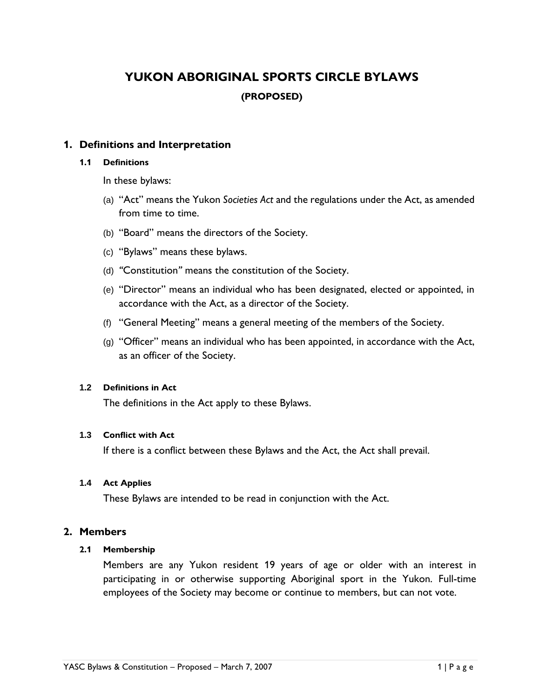## **YUKON ABORIGINAL SPORTS CIRCLE BYLAWS (PROPOSED)**

## **1. Definitions and Interpretation**

#### **1.1 Definitions**

In these bylaws:

- (a) "Act" means the Yukon *Societies Act* and the regulations under the Act, as amended from time to time.
- (b) "Board" means the directors of the Society.
- (c) "Bylaws" means these bylaws.
- (d) *"*Constitution*"* means the constitution of the Society.
- (e) "Director" means an individual who has been designated, elected or appointed, in accordance with the Act, as a director of the Society.
- (f) "General Meeting" means a general meeting of the members of the Society.
- (g) "Officer" means an individual who has been appointed, in accordance with the Act, as an officer of the Society.

## **1.2 Definitions in Act**

The definitions in the Act apply to these Bylaws.

## **1.3 Conflict with Act**

If there is a conflict between these Bylaws and the Act, the Act shall prevail.

## **1.4 Act Applies**

These Bylaws are intended to be read in conjunction with the Act.

## **2. Members**

## **2.1 Membership**

Members are any Yukon resident 19 years of age or older with an interest in participating in or otherwise supporting Aboriginal sport in the Yukon. Full-time employees of the Society may become or continue to members, but can not vote.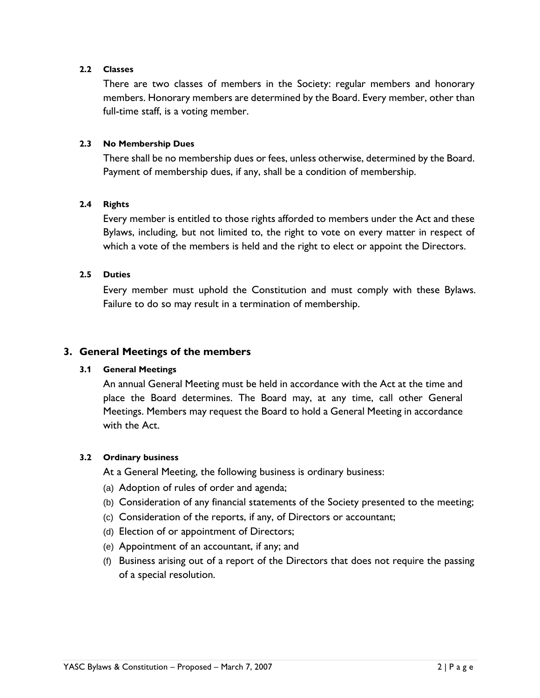## **2.2 Classes**

There are two classes of members in the Society: regular members and honorary members. Honorary members are determined by the Board. Every member, other than full-time staff, is a voting member.

#### **2.3 No Membership Dues**

There shall be no membership dues or fees, unless otherwise, determined by the Board. Payment of membership dues, if any, shall be a condition of membership.

#### **2.4 Rights**

Every member is entitled to those rights afforded to members under the Act and these Bylaws, including, but not limited to, the right to vote on every matter in respect of which a vote of the members is held and the right to elect or appoint the Directors.

#### **2.5 Duties**

Every member must uphold the Constitution and must comply with these Bylaws. Failure to do so may result in a termination of membership.

## **3. General Meetings of the members**

#### **3.1 General Meetings**

An annual General Meeting must be held in accordance with the Act at the time and place the Board determines. The Board may, at any time, call other General Meetings. Members may request the Board to hold a General Meeting in accordance with the Act.

#### **3.2 Ordinary business**

At a General Meeting, the following business is ordinary business:

- (a) Adoption of rules of order and agenda;
- (b) Consideration of any financial statements of the Society presented to the meeting;
- (c) Consideration of the reports, if any, of Directors or accountant;
- (d) Election of or appointment of Directors;
- (e) Appointment of an accountant, if any; and
- (f) Business arising out of a report of the Directors that does not require the passing of a special resolution.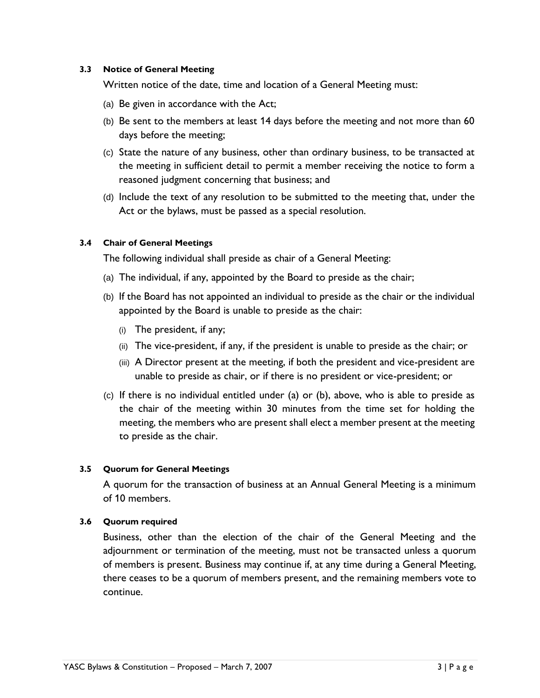#### **3.3 Notice of General Meeting**

Written notice of the date, time and location of a General Meeting must:

- (a) Be given in accordance with the Act;
- (b) Be sent to the members at least 14 days before the meeting and not more than 60 days before the meeting;
- (c) State the nature of any business, other than ordinary business, to be transacted at the meeting in sufficient detail to permit a member receiving the notice to form a reasoned judgment concerning that business; and
- (d) Include the text of any resolution to be submitted to the meeting that, under the Act or the bylaws, must be passed as a special resolution.

## **3.4 Chair of General Meetings**

The following individual shall preside as chair of a General Meeting:

- (a) The individual, if any, appointed by the Board to preside as the chair;
- (b) If the Board has not appointed an individual to preside as the chair or the individual appointed by the Board is unable to preside as the chair:
	- (i) The president, if any;
	- (ii) The vice-president, if any, if the president is unable to preside as the chair; or
	- (iii) A Director present at the meeting, if both the president and vice-president are unable to preside as chair, or if there is no president or vice-president; or
- (c) If there is no individual entitled under (a) or (b), above, who is able to preside as the chair of the meeting within 30 minutes from the time set for holding the meeting, the members who are present shall elect a member present at the meeting to preside as the chair.

## **3.5 Quorum for General Meetings**

A quorum for the transaction of business at an Annual General Meeting is a minimum of 10 members.

## **3.6 Quorum required**

Business, other than the election of the chair of the General Meeting and the adjournment or termination of the meeting, must not be transacted unless a quorum of members is present. Business may continue if, at any time during a General Meeting, there ceases to be a quorum of members present, and the remaining members vote to continue.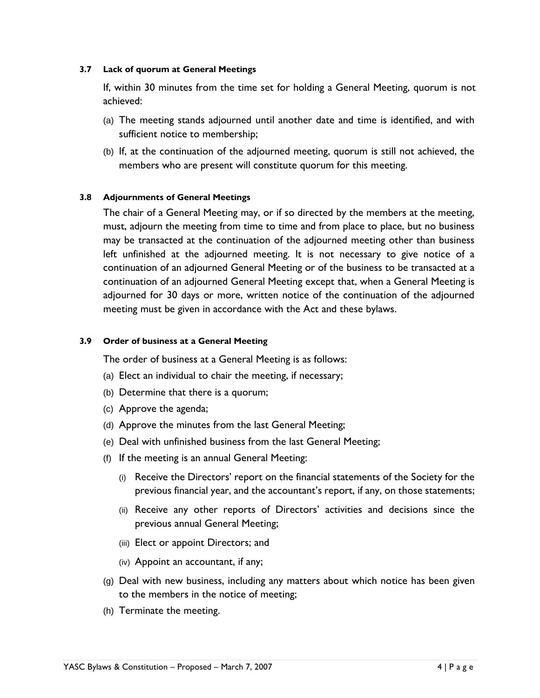#### **3.7 Lack of quorum at General Meetings**

If, within 30 minutes from the time set for holding a General Meeting, quorum is not achieved:

- (a) The meeting stands adjourned until another date and time is identified, and with sufficient notice to membership;
- (b) If, at the continuation of the adjourned meeting, quorum is still not achieved, the members who are present will constitute quorum for this meeting.

## **3.8 Adjournments of General Meetings**

The chair of a General Meeting may, or if so directed by the members at the meeting, must, adjourn the meeting from time to time and from place to place, but no business may be transacted at the continuation of the adjourned meeting other than business left unfinished at the adjourned meeting. It is not necessary to give notice of a continuation of an adjourned General Meeting or of the business to be transacted at a continuation of an adjourned General Meeting except that, when a General Meeting is adjourned for 30 days or more, written notice of the continuation of the adjourned meeting must be given in accordance with the Act and these bylaws.

## **3.9 Order of business at a General Meeting**

The order of business at a General Meeting is as follows:

- (a) Elect an individual to chair the meeting, if necessary;
- (b) Determine that there is a quorum;
- (c) Approve the agenda;
- (d) Approve the minutes from the last General Meeting;
- (e) Deal with unfinished business from the last General Meeting;
- (f) If the meeting is an annual General Meeting:
	- (i) Receive the Directors' report on the financial statements of the Society for the previous financial year, and the accountant's report, if any, on those statements;
	- (ii) Receive any other reports of Directors' activities and decisions since the previous annual General Meeting;
	- (iii) Elect or appoint Directors; and
	- (iv) Appoint an accountant, if any;
- (g) Deal with new business, including any matters about which notice has been given to the members in the notice of meeting;
- (h) Terminate the meeting.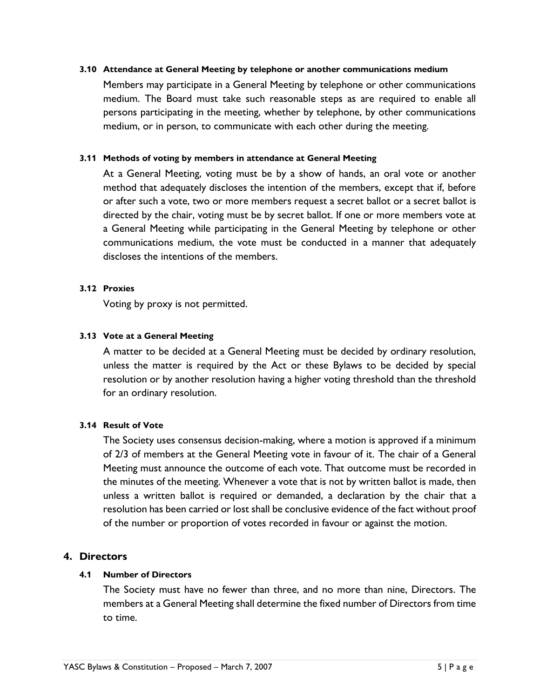#### **3.10 Attendance at General Meeting by telephone or another communications medium**

Members may participate in a General Meeting by telephone or other communications medium. The Board must take such reasonable steps as are required to enable all persons participating in the meeting, whether by telephone, by other communications medium, or in person, to communicate with each other during the meeting.

#### **3.11 Methods of voting by members in attendance at General Meeting**

At a General Meeting, voting must be by a show of hands, an oral vote or another method that adequately discloses the intention of the members, except that if, before or after such a vote, two or more members request a secret ballot or a secret ballot is directed by the chair, voting must be by secret ballot. If one or more members vote at a General Meeting while participating in the General Meeting by telephone or other communications medium, the vote must be conducted in a manner that adequately discloses the intentions of the members.

## **3.12 Proxies**

Voting by proxy is not permitted.

## **3.13 Vote at a General Meeting**

A matter to be decided at a General Meeting must be decided by ordinary resolution, unless the matter is required by the Act or these Bylaws to be decided by special resolution or by another resolution having a higher voting threshold than the threshold for an ordinary resolution.

## **3.14 Result of Vote**

The Society uses consensus decision-making, where a motion is approved if a minimum of 2/3 of members at the General Meeting vote in favour of it. The chair of a General Meeting must announce the outcome of each vote. That outcome must be recorded in the minutes of the meeting. Whenever a vote that is not by written ballot is made, then unless a written ballot is required or demanded, a declaration by the chair that a resolution has been carried or lost shall be conclusive evidence of the fact without proof of the number or proportion of votes recorded in favour or against the motion.

## **4. Directors**

## **4.1 Number of Directors**

The Society must have no fewer than three, and no more than nine, Directors. The members at a General Meeting shall determine the fixed number of Directors from time to time.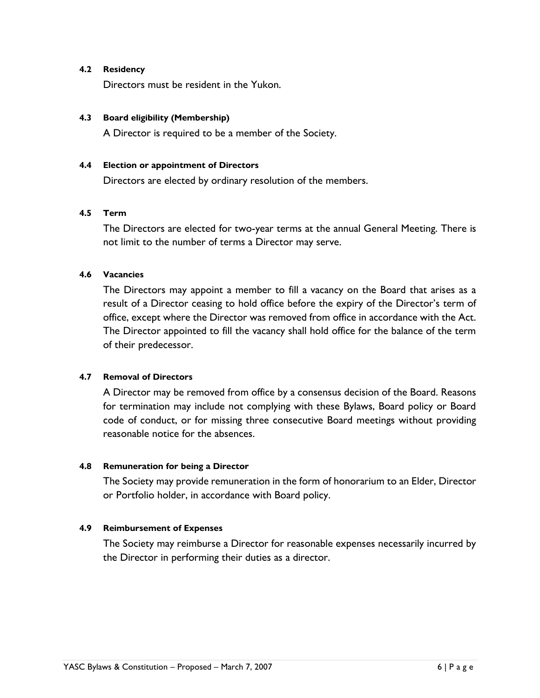#### **4.2 Residency**

Directors must be resident in the Yukon.

#### **4.3 Board eligibility (Membership)**

A Director is required to be a member of the Society.

#### **4.4 Election or appointment of Directors**

Directors are elected by ordinary resolution of the members.

## **4.5 Term**

The Directors are elected for two-year terms at the annual General Meeting. There is not limit to the number of terms a Director may serve.

#### **4.6 Vacancies**

The Directors may appoint a member to fill a vacancy on the Board that arises as a result of a Director ceasing to hold office before the expiry of the Director's term of office, except where the Director was removed from office in accordance with the Act. The Director appointed to fill the vacancy shall hold office for the balance of the term of their predecessor.

#### **4.7 Removal of Directors**

A Director may be removed from office by a consensus decision of the Board. Reasons for termination may include not complying with these Bylaws, Board policy or Board code of conduct, or for missing three consecutive Board meetings without providing reasonable notice for the absences.

#### **4.8 Remuneration for being a Director**

The Society may provide remuneration in the form of honorarium to an Elder, Director or Portfolio holder, in accordance with Board policy.

#### **4.9 Reimbursement of Expenses**

The Society may reimburse a Director for reasonable expenses necessarily incurred by the Director in performing their duties as a director.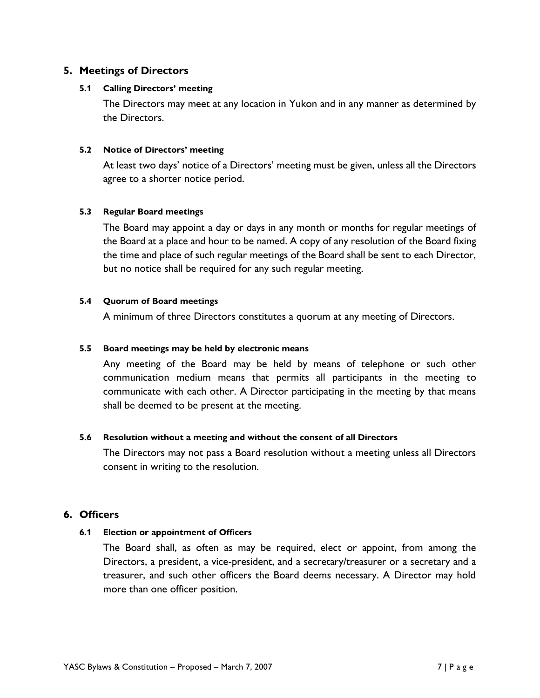## **5. Meetings of Directors**

#### **5.1 Calling Directors' meeting**

The Directors may meet at any location in Yukon and in any manner as determined by the Directors.

## **5.2 Notice of Directors' meeting**

At least two days' notice of a Directors' meeting must be given, unless all the Directors agree to a shorter notice period.

## **5.3 Regular Board meetings**

The Board may appoint a day or days in any month or months for regular meetings of the Board at a place and hour to be named. A copy of any resolution of the Board fixing the time and place of such regular meetings of the Board shall be sent to each Director, but no notice shall be required for any such regular meeting.

## **5.4 Quorum of Board meetings**

A minimum of three Directors constitutes a quorum at any meeting of Directors.

## **5.5 Board meetings may be held by electronic means**

Any meeting of the Board may be held by means of telephone or such other communication medium means that permits all participants in the meeting to communicate with each other. A Director participating in the meeting by that means shall be deemed to be present at the meeting.

#### **5.6 Resolution without a meeting and without the consent of all Directors**

The Directors may not pass a Board resolution without a meeting unless all Directors consent in writing to the resolution.

## **6. Officers**

## **6.1 Election or appointment of Officers**

The Board shall, as often as may be required, elect or appoint, from among the Directors, a president, a vice-president, and a secretary/treasurer or a secretary and a treasurer, and such other officers the Board deems necessary. A Director may hold more than one officer position.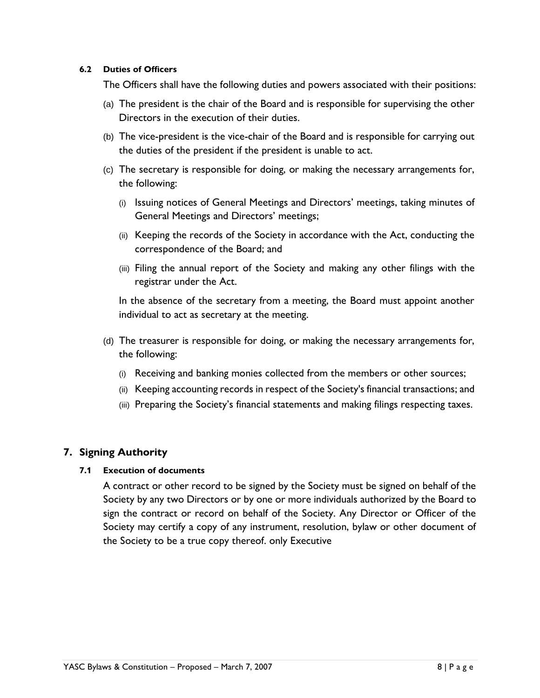#### **6.2 Duties of Officers**

The Officers shall have the following duties and powers associated with their positions:

- (a) The president is the chair of the Board and is responsible for supervising the other Directors in the execution of their duties.
- (b) The vice-president is the vice-chair of the Board and is responsible for carrying out the duties of the president if the president is unable to act.
- (c) The secretary is responsible for doing, or making the necessary arrangements for, the following:
	- (i) Issuing notices of General Meetings and Directors' meetings, taking minutes of General Meetings and Directors' meetings;
	- (ii) Keeping the records of the Society in accordance with the Act, conducting the correspondence of the Board; and
	- (iii) Filing the annual report of the Society and making any other filings with the registrar under the Act.

In the absence of the secretary from a meeting, the Board must appoint another individual to act as secretary at the meeting.

- (d) The treasurer is responsible for doing, or making the necessary arrangements for, the following:
	- (i) Receiving and banking monies collected from the members or other sources;
	- (ii) Keeping accounting records in respect of the Society's financial transactions; and
	- (iii) Preparing the Society's financial statements and making filings respecting taxes.

## **7. Signing Authority**

## **7.1 Execution of documents**

A contract or other record to be signed by the Society must be signed on behalf of the Society by any two Directors or by one or more individuals authorized by the Board to sign the contract or record on behalf of the Society. Any Director or Officer of the Society may certify a copy of any instrument, resolution, bylaw or other document of the Society to be a true copy thereof. only Executive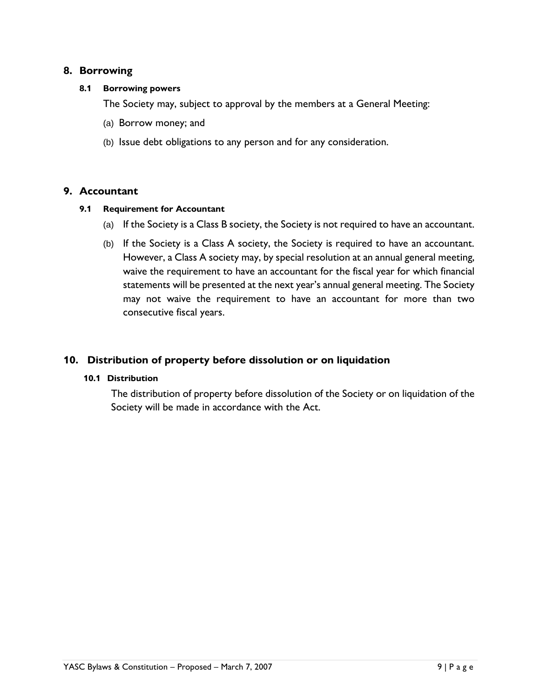## **8. Borrowing**

#### **8.1 Borrowing powers**

The Society may, subject to approval by the members at a General Meeting:

- (a) Borrow money; and
- (b) Issue debt obligations to any person and for any consideration.

## **9. Accountant**

#### **9.1 Requirement for Accountant**

- (a) If the Society is a Class B society, the Society is not required to have an accountant.
- (b) If the Society is a Class A society, the Society is required to have an accountant. However, a Class A society may, by special resolution at an annual general meeting, waive the requirement to have an accountant for the fiscal year for which financial statements will be presented at the next year's annual general meeting. The Society may not waive the requirement to have an accountant for more than two consecutive fiscal years.

## **10. Distribution of property before dissolution or on liquidation**

#### **10.1 Distribution**

The distribution of property before dissolution of the Society or on liquidation of the Society will be made in accordance with the Act.